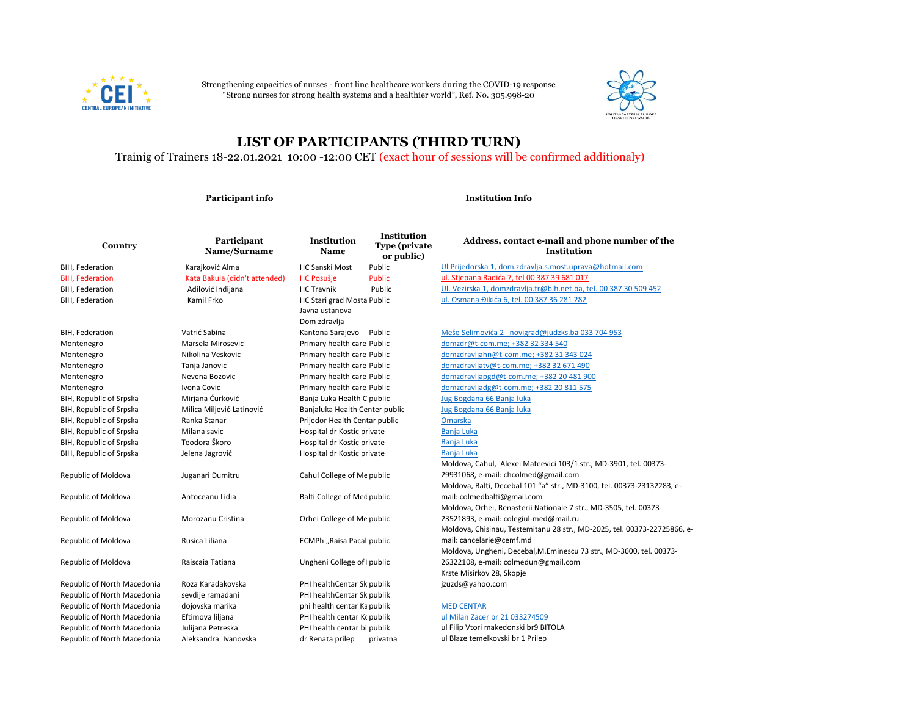

Strengthening capacities of nurses - front line healthcare workers during the COVID-19 response "Strong nurses for strong health systems and a healthier world", Ref. No. 305.998-20



## **LIST OF PARTICIPANTS (THIRD TURN)**

Trainig of Trainers 18-22.01.2021 10:00 -12:00 CET (exact hour of sessions will be confirmed additionaly)

**Participant info Institution Info**

| Country                     | Participant<br>Name/Surname   | <b>Institution</b><br>Name                                   | <b>Institution</b><br><b>Type (private)</b><br>or public) | Address, contact e-mail and phone number of the<br><b>Institution</b>    |
|-----------------------------|-------------------------------|--------------------------------------------------------------|-----------------------------------------------------------|--------------------------------------------------------------------------|
| BIH, Federation             | Karajković Alma               | <b>HC Sanski Most</b>                                        | Public                                                    | Ul Prijedorska 1, dom.zdravlja.s.most.uprava@hotmail.com                 |
| <b>BIH, Federation</b>      | Kata Bakula (didn't attended) | <b>HC Posušje</b>                                            | <b>Public</b>                                             | ul. Stjepana Radića 7, tel 00 387 39 681 017                             |
| BIH, Federation             | Adilović Indijana             | <b>HC Travnik</b>                                            | Public                                                    | Ul. Vezirska 1, domzdravlja.tr@bih.net.ba, tel. 00 387 30 509 452        |
| BIH, Federation             | Kamil Frko                    | HC Stari grad Mosta Public<br>Javna ustanova<br>Dom zdravlja |                                                           | ul. Osmana Đikića 6, tel. 00 387 36 281 282                              |
| BIH, Federation             | Vatrić Sabina                 | Kantona Sarajevo                                             | Public                                                    | Meše Selimovića 2 novigrad@judzks.ba 033 704 953                         |
| Montenegro                  | Marsela Mirosevic             | Primary health care Public                                   |                                                           | domzdr@t-com.me; +382 32 334 540                                         |
| Montenegro                  | Nikolina Veskovic             | Primary health care Public                                   |                                                           | domzdravljahn@t-com.me; +382 31 343 024                                  |
| Montenegro                  | Tanja Janovic                 | Primary health care Public                                   |                                                           | domzdravljatv@t-com.me; +382 32 671 490                                  |
| Montenegro                  | Nevena Bozovic                | Primary health care Public                                   |                                                           | domzdravljapgd@t-com.me; +382 20 481 900                                 |
| Montenegro                  | Ivona Covic                   | Primary health care Public                                   |                                                           | domzdravljadg@t-com.me; +382 20 811 575                                  |
| BIH, Republic of Srpska     | Mirjana Ćurković              | Banja Luka Health C public                                   |                                                           | Jug Bogdana 66 Banja luka                                                |
| BIH, Republic of Srpska     | Milica Miljević-Latinović     | Banjaluka Health Center public                               |                                                           | Jug Bogdana 66 Banja luka                                                |
| BIH, Republic of Srpska     | Ranka Stanar                  | Prijedor Health Centar public                                |                                                           | Omarska                                                                  |
| BIH, Republic of Srpska     | Milana savic                  | Hospital dr Kostic private                                   |                                                           | Banja Luka                                                               |
| BIH, Republic of Srpska     | Teodora Škoro                 | Hospital dr Kostic private                                   |                                                           | Banja Luka                                                               |
| BIH, Republic of Srpska     | Jelena Jagrović               | Hospital dr Kostic private                                   |                                                           | Banja Luka                                                               |
|                             |                               |                                                              |                                                           | Moldova, Cahul, Alexei Mateevici 103/1 str., MD-3901, tel. 00373-        |
| Republic of Moldova         | Juganari Dumitru              | Cahul College of Me public                                   |                                                           | 29931068, e-mail: chcolmed@gmail.com                                     |
|                             |                               |                                                              |                                                           | Moldova, Balți, Decebal 101 "a" str., MD-3100, tel. 00373-23132283, e-   |
| Republic of Moldova         | Antoceanu Lidia               | Balti College of Mec public                                  |                                                           | mail: colmedbalti@gmail.com                                              |
|                             |                               |                                                              |                                                           | Moldova, Orhei, Renasterii Nationale 7 str., MD-3505, tel. 00373-        |
| Republic of Moldova         | Morozanu Cristina             | Orhei College of Me public                                   |                                                           | 23521893, e-mail: colegiul-med@mail.ru                                   |
|                             |                               |                                                              |                                                           | Moldova, Chisinau, Testemitanu 28 str., MD-2025, tel. 00373-22725866, e- |
| Republic of Moldova         | Rusica Liliana                | ECMPh "Raisa Pacal public                                    |                                                           | mail: cancelarie@cemf.md                                                 |
|                             |                               |                                                              |                                                           | Moldova, Ungheni, Decebal, M.Eminescu 73 str., MD-3600, tel. 00373-      |
| Republic of Moldova         | Raiscaia Tatiana              | Ungheni College of   public                                  |                                                           | 26322108, e-mail: colmedun@gmail.com                                     |
|                             |                               |                                                              |                                                           | Krste Misirkov 28, Skopje                                                |
| Republic of North Macedonia | Roza Karadakovska             | PHI healthCentar Sk publik                                   |                                                           | jzuzds@yahoo.com                                                         |
| Republic of North Macedonia | sevdije ramadani              | PHI healthCentar Sk publik                                   |                                                           |                                                                          |
| Republic of North Macedonia | dojovska marika               | phi health centar Ka publik                                  |                                                           | <b>MED CENTAR</b>                                                        |
| Republic of North Macedonia | Eftimova liljana              | PHI health centar Kopublik                                   |                                                           | ul Milan Zacer br 21 033274509                                           |
| Republic of North Macedonia | Julijana Petreska             | PHI health centar bi publik                                  |                                                           | ul Filip Vtori makedonski br9 BITOLA                                     |

Republic of North Macedonia Aleksandra Ivanovska dr Renata prilep privatna ul Blaze temelkovski br 1 Prilep